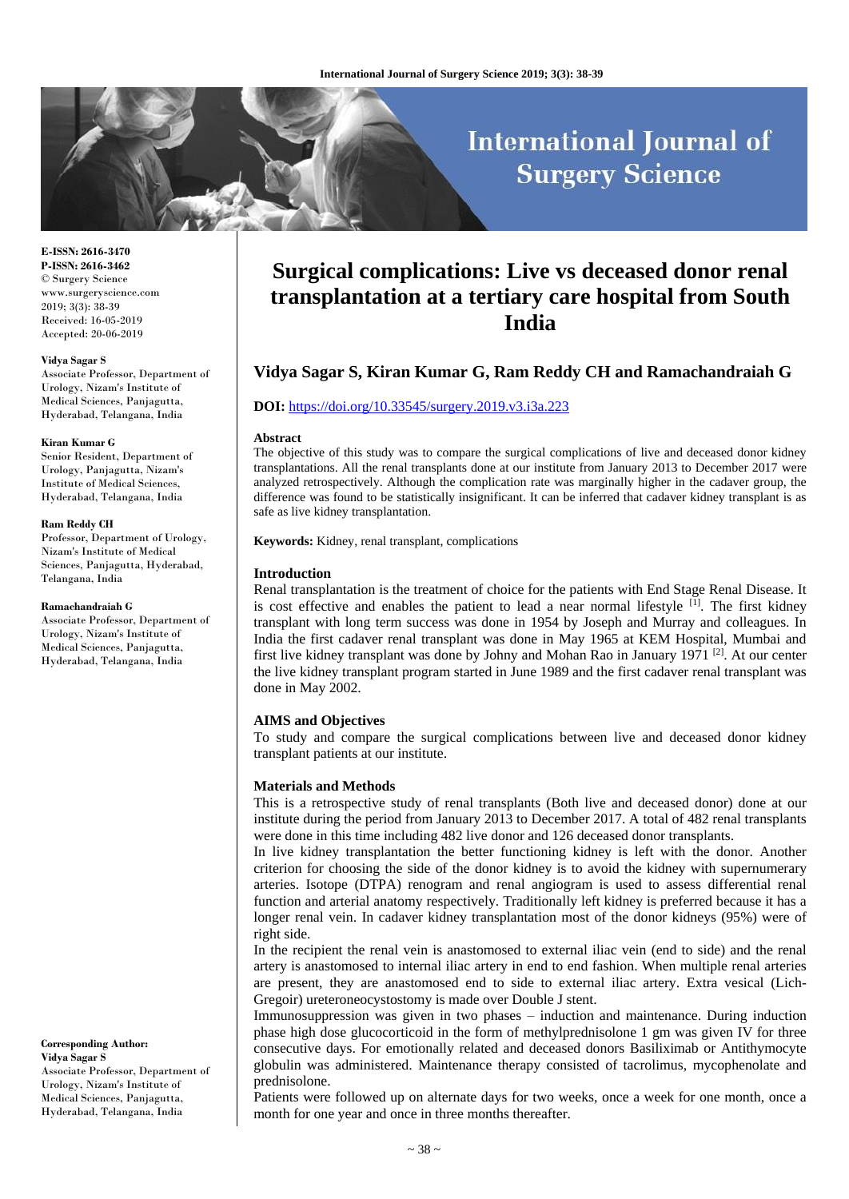# **International Journal of Surgery Science**

**E-ISSN: 2616-3470 P-ISSN: 2616-3462** © Surgery Science www.surgeryscience.com 2019; 3(3): 38-39 Received: 16-05-2019 Accepted: 20-06-2019

#### **Vidya Sagar S**

Associate Professor, Department of Urology, Nizam's Institute of Medical Sciences, Panjagutta, Hyderabad, Telangana, India

#### **Kiran Kumar G**

Senior Resident, Department of Urology, Panjagutta, Nizam's Institute of Medical Sciences, Hyderabad, Telangana, India

#### **Ram Reddy CH**

Professor, Department of Urology, Nizam's Institute of Medical Sciences, Panjagutta, Hyderabad, Telangana, India

#### **Ramachandraiah G**

Associate Professor, Department of Urology, Nizam's Institute of Medical Sciences, Panjagutta, Hyderabad, Telangana, India

**Corresponding Author: Vidya Sagar S** Associate Professor, Department of Urology, Nizam's Institute of

Medical Sciences, Panjagutta, Hyderabad, Telangana, India

## **Surgical complications: Live vs deceased donor renal transplantation at a tertiary care hospital from South India**

## **Vidya Sagar S, Kiran Kumar G, Ram Reddy CH and Ramachandraiah G**

#### **DOI:** <https://doi.org/10.33545/surgery.2019.v3.i3a.223>

#### **Abstract**

The objective of this study was to compare the surgical complications of live and deceased donor kidney transplantations. All the renal transplants done at our institute from January 2013 to December 2017 were analyzed retrospectively. Although the complication rate was marginally higher in the cadaver group, the difference was found to be statistically insignificant. It can be inferred that cadaver kidney transplant is as safe as live kidney transplantation.

**Keywords:** Kidney, renal transplant, complications

#### **Introduction**

Renal transplantation is the treatment of choice for the patients with End Stage Renal Disease. It is cost effective and enables the patient to lead a near normal lifestyle  $[1]$ . The first kidney transplant with long term success was done in 1954 by Joseph and Murray and colleagues. In India the first cadaver renal transplant was done in May 1965 at KEM Hospital, Mumbai and first live kidney transplant was done by Johny and Mohan Rao in January 1971  $[2]$ . At our center the live kidney transplant program started in June 1989 and the first cadaver renal transplant was done in May 2002.

### **AIMS and Objectives**

To study and compare the surgical complications between live and deceased donor kidney transplant patients at our institute.

#### **Materials and Methods**

This is a retrospective study of renal transplants (Both live and deceased donor) done at our institute during the period from January 2013 to December 2017. A total of 482 renal transplants were done in this time including 482 live donor and 126 deceased donor transplants.

In live kidney transplantation the better functioning kidney is left with the donor. Another criterion for choosing the side of the donor kidney is to avoid the kidney with supernumerary arteries. Isotope (DTPA) renogram and renal angiogram is used to assess differential renal function and arterial anatomy respectively. Traditionally left kidney is preferred because it has a longer renal vein. In cadaver kidney transplantation most of the donor kidneys (95%) were of right side.

In the recipient the renal vein is anastomosed to external iliac vein (end to side) and the renal artery is anastomosed to internal iliac artery in end to end fashion. When multiple renal arteries are present, they are anastomosed end to side to external iliac artery. Extra vesical (Lich-Gregoir) ureteroneocystostomy is made over Double J stent.

Immunosuppression was given in two phases – induction and maintenance. During induction phase high dose glucocorticoid in the form of methylprednisolone 1 gm was given IV for three consecutive days. For emotionally related and deceased donors Basiliximab or Antithymocyte globulin was administered. Maintenance therapy consisted of tacrolimus, mycophenolate and prednisolone.

Patients were followed up on alternate days for two weeks, once a week for one month, once a month for one year and once in three months thereafter.